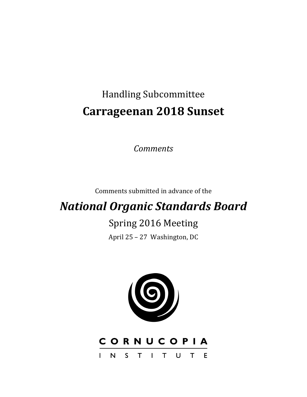# Handling Subcommittee **Carrageenan 2018 Sunset**

*Comments*

Comments submitted in advance of the

## *National Organic Standards Board*

### Spring 2016 Meeting

April 25 - 27 Washington, DC



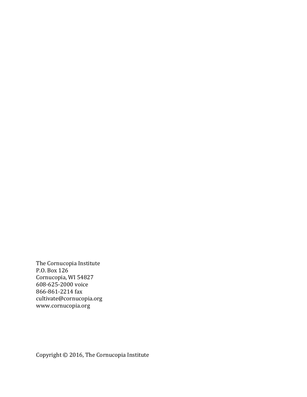The Cornucopia Institute P.O. Box 126 Cornucopia, WI 54827 608-625-2000 voice 866-861-2214 fax cultivate@cornucopia.org www.cornucopia.org

Copyright © 2016, The Cornucopia Institute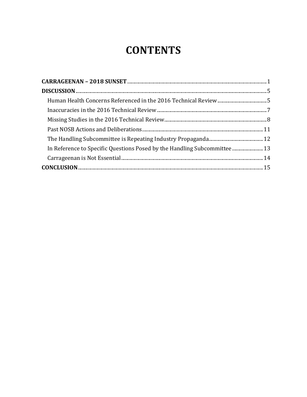### **CONTENTS**

| In Reference to Specific Questions Posed by the Handling Subcommittee  13 |  |
|---------------------------------------------------------------------------|--|
|                                                                           |  |
|                                                                           |  |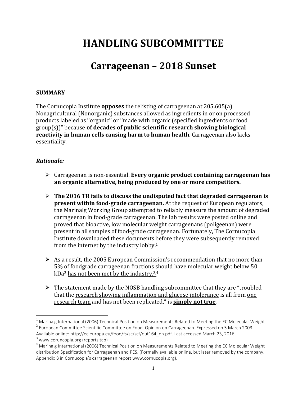### **HANDLING SUBCOMMITTEE**

### **Carrageenan – 2018 Sunset**

#### **SUMMARY**

The Cornucopia Institute **opposes** the relisting of carrageenan at 205.605(a) Nonagricultural (Nonorganic) substances allowed as ingredients in or on processed products labeled as "organic" or "made with organic (specified ingredients or food group(s))" because of decades of public scientific research showing biological **reactivity in human cells causing harm to human health**. Carrageenan also lacks essentiality.

#### *Rationale:*

- $\triangleright$  Carrageenan is non-essential. **Every organic product containing carrageenan has** an organic alternative, being produced by one or more competitors.
- $\triangleright$  The 2016 TR fails to discuss the undisputed fact that degraded carrageenan is **present within food-grade carrageenan.** At the request of European regulators, the Marinalg Working Group attempted to reliably measure the amount of degraded carrageenan in food-grade carrageenan. The lab results were posted online and proved that bioactive, low molecular weight carrageenans (poligeenan) were present in all samples of food-grade carrageenan. Fortunately, The Cornucopia Institute downloaded these documents before they were subsequently removed from the internet by the industry lobby.<sup>1</sup>
- $\triangleright$  As a result, the 2005 European Commission's recommendation that no more than 5% of foodgrade carrageenan fractions should have molecular weight below 50  $kDa<sup>2</sup>$  has not been met by the industry.<sup>3,4</sup>
- $\triangleright$  The statement made by the NOSB handling subcommittee that they are "troubled" that the research showing inflammation and glucose intolerance is all from one research team and has not been replicated," is **simply not true**.

<sup>&</sup>lt;sup>1</sup> Marinalg International (2006) Technical Position on Measurements Related to Meeting the EC Molecular Weight <sup>2</sup> European Committee Scientific Committee on Food. Opinion on Carrageenan. Expressed on 5 March 2003. Avail

 $^3$  www.coruncopia.org (reports tab)<br> $^4$  Marinalg International (2006) Technical Position on Measurements Related to Meeting the EC Molecular Weight distribution Specification for Carrageenan and PES. (Formally available online, but later removed by the company. Appendix B in Cornucopia's carrageenan report www.cornucopia.org).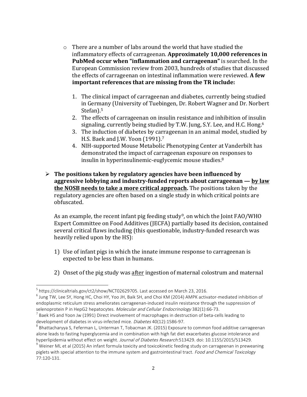- $\circ$  There are a number of labs around the world that have studied the inflammatory effects of carrageenan. **Approximately 10,000 references in PubMed occur when "inflammation and carrageenan"** is searched. In the European Commission review from 2003, hundreds of studies that discussed the effects of carrageenan on intestinal inflammation were reviewed. A few important references that are missing from the TR include:
	- 1. The clinical impact of carrageenan and diabetes, currently being studied in Germany (University of Tuebingen, Dr. Robert Wagner and Dr. Norbert Stefan).<sup>5</sup>
	- 2. The effects of carrageenan on insulin resistance and inhibition of insulin signaling, currently being studied by T.W. Jung, S.Y. Lee, and H.C. Hong.<sup>6</sup>
	- 3. The induction of diabetes by carrageenan in an animal model, studied by H.S. Baek and J.W. Yoon (1991).<sup>7</sup>
	- 4. NIH-supported Mouse Metabolic Phenotyping Center at Vanderbilt has demonstrated the impact of carrageenan exposure on responses to insulin in hyperinsulinemic-euglycemic mouse studies. $8$
- $\triangleright$  The positions taken by regulatory agencies have been influenced by **aggressive lobbying and industry-funded reports about carrageenan — by law the NOSB needs to take a more critical approach.** The positions taken by the regulatory agencies are often based on a single study in which critical points are obfuscated.

As an example, the recent infant pig feeding study<sup>9</sup>, on which the Joint  $FAO/WHO$ Expert Committee on Food Additives (JECFA) partially based its decision, contained several critical flaws including (this questionable, industry-funded research was heavily relied upon by the HS):

- 1) Use of infant pigs in which the innate immune response to carrageenan is expected to be less than in humans.
- 2) Onset of the pig study was after ingestion of maternal colostrum and maternal

<sup>&</sup>lt;sup>5</sup> https://clinicaltrials.gov/ct2/show/NCT02629705. Last accessed on March 23, 2016.<br><sup>6</sup> Jung TW, Lee SY, Hong HC, Choi HY, Yoo JH, Baik SH, and Choi KM (2014) AMPK activator-mediated inhibition of endoplasmic reticulum stress ameliorates carrageenan-induced insulin resistance through the suppression of selenoprotein P in HepG2 hepatocytes. Molecular and Cellular Endocrinology 382(1):66-73.<br><sup>7</sup> Baek HS and Yoon Jw (1991) Direct involvement of macrophages in destruction of beta-cells leading to

development of diabetes in virus-infected mice. *Diabetes* 40(12):1586-97.<br><sup>8</sup> Bhattacharyya S, Feferman L, Unterman T, Tobacman JK. (2015) Exposure to common food additive carrageenan alone leads to fasting hyperglycemia and in combination with high fat diet exacerbates glucose intolerance and hyperlipidemia without effect on weight. Journal of Diabetes Research:513429. doi: 10.1155/2015/513429.<br><sup>9</sup> Weiner ML et al (2015) An infant formula toxicity and toxicokinetic feeding study on carrageenan in preweaning

piglets with special attention to the immune system and gastrointestinal tract. Food and Chemical Toxicology 77:120-131.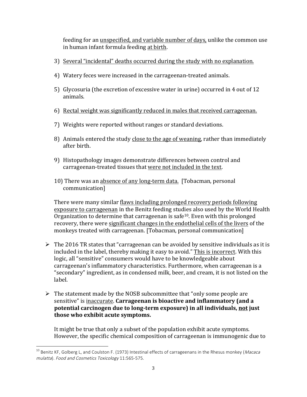feeding for an *unspecified*, and variable number of days, unlike the common use in human infant formula feeding at birth.

- 3) Several "incidental" deaths occurred during the study with no explanation.
- 4) Watery feces were increased in the carrageenan-treated animals.
- 5) Glycosuria (the excretion of excessive water in urine) occurred in 4 out of 12 animals.
- 6) Rectal weight was significantly reduced in males that received carrageenan.
- 7) Weights were reported without ranges or standard deviations.
- 8) Animals entered the study close to the age of weaning, rather than immediately after birth.
- 9) Histopathology images demonstrate differences between control and carrageenan-treated tissues that were not included in the text.
- 10) There was an absence of any long-term data. [Tobacman, personal] communication]

There were many similar flaws including prolonged recovery periods following exposure to carrageenan in the Benitz feeding studies also used by the World Health Organization to determine that carrageenan is safe<sup>10</sup>. Even with this prolonged recovery, there were significant changes in the endothelial cells of the livers of the monkeys treated with carrageenan. [Tobacman, personal communication]

- $\triangleright$  The 2016 TR states that "carrageenan can be avoided by sensitive individuals as it is included in the label, thereby making it easy to avoid." This is incorrect. With this logic, all "sensitive" consumers would have to be knowledgeable about carrageenan's inflammatory characteristics. Furthermore, when carrageenan is a "secondary" ingredient, as in condensed milk, beer, and cream, it is not listed on the label.
- $\triangleright$  The statement made by the NOSB subcommittee that "only some people are sensitive" is inaccurate. **Carrageenan is bioactive and inflammatory (and a potential carcinogen due to long-term exposure) in all individuals, not just** those who exhibit acute symptoms.

It might be true that only a subset of the population exhibit acute symptoms. However, the specific chemical composition of carrageenan is immunogenic due to

 $^{10}$  Benitz KF, Golberg L, and Coulston F. (1973) Intestinal effects of carrageenans in the Rhesus monkey (*Macaca* mulatta). Food and Cosmetics Toxicology 11:565-575.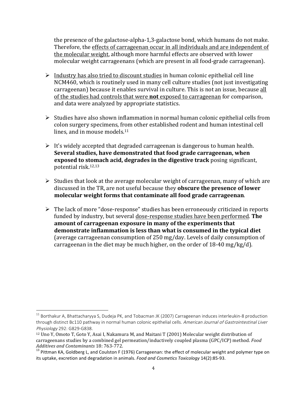the presence of the galactose-alpha-1,3-galactose bond, which humans do not make. Therefore, the effects of carrageenan occur in all individuals and are independent of the molecular weight, although more harmful effects are observed with lower molecular weight carrageenans (which are present in all food-grade carrageenan).

- $\triangleright$  Industry has also tried to discount studies in human colonic epithelial cell line NCM460, which is routinely used in many cell culture studies (not just investigating carrageenan) because it enables survival in culture. This is not an issue, because all of the studies had controls that were **not** exposed to carrageenan for comparison, and data were analyzed by appropriate statistics.
- $\triangleright$  Studies have also shown inflammation in normal human colonic epithelial cells from colon surgery specimens, from other established rodent and human intestinal cell lines, and in mouse models.<sup>11</sup>
- $\triangleright$  It's widely accepted that degraded carrageenan is dangerous to human health. **Several studies, have demonstrated that food grade carrageenan, when exposed to stomach acid, degrades in the digestive track** posing significant, potential risk.<sup>12,13</sup>
- $\triangleright$  Studies that look at the average molecular weight of carrageenan, many of which are discussed in the TR, are not useful because they **obscure the presence of lower molecular weight forms that contaminate all food grade carrageenan.**
- $\triangleright$  The lack of more "dose-response" studies has been erroneously criticized in reports funded by industry, but several dose-response studies have been performed. The amount of carrageenan exposure in many of the experiments that demonstrate inflammation is less than what is consumed in the typical diet (average carrageenan consumption of  $250$  mg/day. Levels of daily consumption of carrageenan in the diet may be much higher, on the order of  $18-40$  mg/kg/d).

<sup>&</sup>lt;sup>11</sup> Borthakur A, Bhattacharyya S, Dudeja PK, and Tobacman JK (2007) Carrageenan induces interleukin-8 production through distinct Bc110 pathway in normal human colonic epithelial cells. American Journal of Gastrointestinal Liver Physiology 292: G829-G838.

<sup>&</sup>lt;sup>12</sup> Uno Y, Omoto T, Goto Y, Asai I, Nakamura M, and Maitani T (2001) Molecular weight distribution of carrageenans studies by a combined gel permeation/inductively coupled plasma (GPC/ICP) method. *Food Additives and Contaminants* 18: 763-772.<br><sup>13</sup> Pittman KA, Goldberg L, and Coulston F (1976) Carrageenan: the effect of molecular weight and polymer type on

its uptake, excretion and degradation in animals. *Food and Cosmetics Toxicology* 14(2):85-93.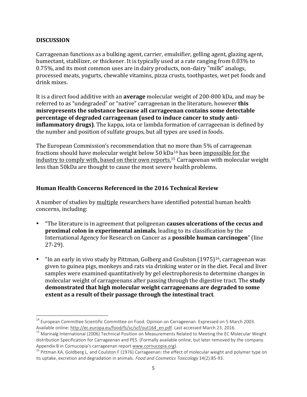#### **DISCUSSION**

 

Carrageenan functions as a bulking agent, carrier, emulsifier, gelling agent, glazing agent, humectant, stabilizer, or thickener. It is typically used at a rate ranging from 0.03% to 0.75%, and its most common uses are in dairy products, non-dairy "milk" analogs, processed meats, yogurts, chewable vitamins, pizza crusts, toothpastes, wet pet foods and drink mixes.

It is a direct food additive with an **average** molecular weight of 200-800 kDa, and may be referred to as "undegraded" or "native" carrageenan in the literature, however **this** misrepresents the substance because all carrageenan contains some detectable **percentage of degraded carrageenan (used to induce cancer to study antiinflammatory drugs)**. The kappa, iota or lambda formation of carrageenan is defined by the number and position of sulfate groups, but all types are used in foods.

The European Commission's recommendation that no more than 5% of carrageenan fractions should have molecular weight below 50 kDa<sup>14</sup> has been impossible for the industry to comply with, based on their own reports.<sup>15</sup> Carrageenan with molecular weight less than 50kDa are thought to cause the most severe health problems.

#### **Human Health Concerns Referenced in the 2016 Technical Review**

A number of studies by multiple researchers have identified potential human health concerns, including:

- "The literature is in agreement that poligeenan **causes ulcerations of the cecus and proximal colon in experimental animals**, leading to its classification by the International Agency for Research on Cancer as a **possible human carcinogen**" (line 27-29).
- "In an early in vivo study by Pittman, Golberg and Coulston  $(1975)^{16}$ , carrageenan was given to guinea pigs, monkeys and rats via drinking water or in the diet. Fecal and liver samples were examined quantitatively by gel electrophoresis to determine changes in molecular weight of carrageenans after passing through the digestive tract. The **study** demonstrated that high molecular weight carrageenans are degraded to some **extent as a result of their passage through the intestinal tract.**

 $14$  European Committee Scientific Committee on Food. Opinion on Carrageenan. Expressed on 5 March 2003. Available online: http://ec.europa.eu/food/fs/sc/scf/out164\_en.pdf. Last accessed March 23, 2016.<br><sup>15</sup> Marinalg International (2006) Technical Position on Measurements Related to Meeting the EC Molecular Weight

distribution Specification for Carrageenan and PES. (Formally available online, but later removed by the company. Appendix B in Cornucopia's carrageenan report www.cornucopia.org).<br><sup>16</sup> Pittman KA, Goldberg L, and Coulston F (1976) Carrageenan: the effect of molecular weight and polymer type on

its uptake, excretion and degradation in animals. Food and Cosmetics Toxicology 14(2):85-93.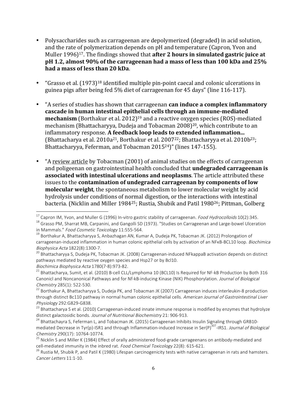- Polysaccharides such as carrageenan are depolymerized (degraded) in acid solution, and the rate of polymerization depends on pH and temperature (Capron, Yvon and Muller 1996)<sup>17</sup>. The findings showed that **after 2 hours in simulated gastric juice at pH** 1.2, almost 90% of the carrageenan had a mass of less than 100 kDa and 25% had a mass of less than 20 kDa.
- "Grasso et al.  $(1973)^{18}$  identified multiple pin-point caecal and colonic ulcerations in guinea pigs after being fed 5% diet of carrageenan for 45 days" (line 116-117).
- "A series of studies has shown that carrageenan **can induce a complex inflammatory** cascade in human intestinal epithelial cells through an immune-mediated **mechanism** (Borthakur et al. 2012)<sup>19</sup> and a reactive oxygen species (ROS)-mediated mechanism (Bhattacharyya, Dudeja and Tobacman 2008)<sup>20</sup>, which contribute to an inflammatory response. A feedback loop leads to extended inflammation... (Bhattacharya et al. 2010a<sup>21</sup>, Borthakur et al. 2007<sup>22</sup>; Bhattacharyya et al. 2010b<sup>23</sup>; Bhattacharyya, Feferman, and Tobacman 2015<sup>24</sup>)" (lines 147-155).
- "A review article by Tobacman  $(2001)$  of animal studies on the effects of carrageenan and poligeenan on gastrointestinal health concluded that **undegraded carrageenan is associated with intestinal ulcerations and neoplasms**. The article attributed these issues to the **contamination of undegraded carrageenan by components of low molecular weight**, the spontaneous metabolism to lower molecular weight by acid hydrolysis under conditions of normal digestion, or the interactions with intestinal bacteria. (Nicklin and Miller 1984<sup>25</sup>; Rustia, Shubik and Patil 1980<sup>26</sup>; Pittman, Golberg

<sup>&</sup>lt;sup>17</sup> Capron IM, Yvon, and Muller G (1996) In-vitro gastric stability of carrageenan. Food Hydrocolloids 10(2):345.

<sup>&</sup>lt;sup>18</sup> Grasso PM, Sharrat MB, Carpanini, and Gangolli SD (1973). "Studies on Carrageenan and Large-bowel Ulceration<br>in Mammals "*Food Cosmetic Toxicology* 11:555-564.

<sup>&</sup>lt;sup>19</sup> Borthakur A, Bhattacharyya S, Anbazhagan AN, Kumar A, Dudeja PK, Tobacman JK. (2012) Prolongation of carrageenan-induced inflammation in human colonic epithelial cells by activation of an NFKB-BCL10 loop. Biochimica Biophysica Acta 1822(8):1300-7.<br><sup>20</sup> Bhattacharyya S, Dudeja PK, Tobacman JK. (2008) Carrageenan-induced NFkappaB activation depends on distinct

pathways mediated by reactive oxygen species and Hsp27 or by Bcl10.

Biochimica Biophysica Acta 1780(7-8):973-82.<br><sup>21</sup> Bhattacharya, Sumit, et al. (2010) B-cell CLL/Lymphoma 10 (BCL10) Is Required for NF-kB Production by Both 316 Canonicl and Noncanonical Pathways and for Nf-kB-inducing Kinase (NIK) Phosphorylation. Journal of Biological Chemistry 285(1): 522-530.<br><sup>22</sup> Borthakur A, Bhattacharyya S, Dudeja PK, and Tobacman JK (2007) Carrageenan induces interleukin-8 production

through distinct Bc110 pathway in normal human colonic epithelial cells. American Journal of Gastrointestinal Liver

Physiology 292:G829-G838.<br><sup>23</sup> Bhattacharya S et al. (2010) Carrageenan-induced innate immune response is modified by enzymes that hydrolyze<br>distinct galactosidic bonds. *Journal of Nutritional Biochemistry* 21: 906-913.

<sup>&</sup>lt;sup>24</sup> Bhattachayra S, Feferman L, and Tobacman JK. (2015) Carrageenan Inhibits Insulin Signaling through GRB10mediated Decrease in Tyr(p)-ISR1 and through Inflammation-induced Increase in Ser(P)<sup>307</sup>-IRS1. *Journal of Biological* Chemistry 290(17): 10764-10774.<br><sup>25</sup> Nicklin S and Miller K (1984) Effect of orally administered food-grade carrageenans on antibody-mediated and

cell-mediated immunity in the inbred rat. Food Chemical Toxicology 22(8): 615-621.<br><sup>26</sup> Rustia M, Shubik P, and Patil K (1980) Lifespan carcinogenicity tests with native carrageenan in rats and hamsters.

Cancer Letters 11:1-10.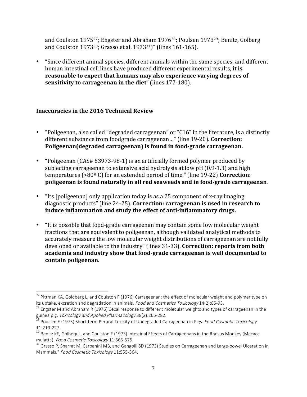and Coulston 1975<sup>27</sup>; Engster and Abraham 1976<sup>28</sup>; Poulsen 1973<sup>29</sup>; Benitz, Golberg and Coulston 1973<sup>30</sup>; Grasso et al. 1973<sup>31</sup>)" (lines 161-165).

• "Since different animal species, different animals within the same species, and different human intestinal cell lines have produced different experimental results, it is reasonable to expect that humans may also experience varying degrees of **sensitivity to carrageenan in the diet**" (lines 177-180).

#### **Inaccuracies in the 2016 Technical Review**

- "Poligeenan, also called "degraded carrageenan" or "C16" in the literature, is a distinctly different substance from foodgrade carrageenan..." (line 19-20). **Correction: Poligeenan(degraded carrageenan) is found in food-grade carrageenan.**
- "Poligeenan (CAS# 53973-98-1) is an artificially formed polymer produced by subjecting carrageenan to extensive acid hydrolysis at low  $pH(0.9-1.3)$  and high temperatures  $(>80^{\circ} \text{ C})$  for an extended period of time." (line 19-22) **Correction: poligeenan is found naturally in all red seaweeds and in food-grade carrageenan.**
- "Its [poligeenan] only application today is as a 25 component of x-ray imaging diagnostic products" (line 24-25). **Correction: carrageenan is used in research to** induce inflammation and study the effect of anti-inflammatory drugs.
- "It is possible that food-grade carrageenan may contain some low molecular weight fractions that are equivalent to poligeenan, although validated analytical methods to accurately measure the low molecular weight distributions of carrageenan are not fully developed or available to the industry" (lines 31-33). Correction: reports from both academia and industry show that food-grade carrageenan is well documented to **contain poligeenan.**

<sup>&</sup>lt;sup>27</sup> Pittman KA, Goldberg L, and Coulston F (1976) Carrageenan: the effect of molecular weight and polymer type on

its uptake, excretion and degradation in animals. Food and Cosmetics Toxicology 14(2):85-93.<br><sup>28</sup> Engster M and Abraham R (1976) Cecal response to different molecular weights and types of carrageenan in the<br>guinea pig. Tox

<sup>&</sup>lt;sup>29</sup> Poulsen E (1973) Short-term Peroral Toxicity of Undegraded Carrageenan in Pigs. Food Cosmetic Toxicology

<sup>11:219-227.&</sup>lt;br><sup>30</sup> Benitz KF, Golberg L, and Coulston F (1973) Intestinal Effects of Carrageenans in the Rhesus Monkey (Macaca<br>mulatta). *Food Cosmetic Toxicology* 11:565-575.

<sup>&</sup>lt;sup>31</sup> Grasso P, Sharrat M, Carpanini MB, and Gangolli SD (1973) Studies on Carrageenan and Large-bowel Ulceration in Mammals." Food Cosmetic Toxicology 11:555-564.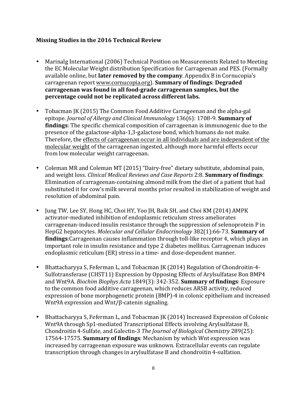#### **Missing Studies in the 2016 Technical Review**

- Marinalg International (2006) Technical Position on Measurements Related to Meeting the EC Molecular Weight distribution Specification for Carrageenan and PES. (Formally available online, but **later removed by the company**. Appendix B in Cornucopia's carrageenan report www.cornucopia.org). **Summary of findings: Degraded carrageenan was found in all food-grade carrageenan samples, but the percentage could not be replicated across different labs.**
- Tobacman JK (2015) The Common Food Additive Carrageenan and the alpha-gal epitope. Journal of Allergy and Clinical Immunology 136(6): 1708-9. **Summary of findings**: The specific chemical composition of carrageenan is immunogenic due to the presence of the galactose-alpha-1,3-galactose bond, which humans do not make. Therefore, the effects of carrageenan occur in all individuals and are independent of the molecular weight of the carrageenan ingested, although more harmful effects occur from low molecular weight carrageenan.
- Coleman MR and Coleman MT (2015) "Dairy-free" dietary substitute, abdominal pain, and weight loss. *Clinical Medical Reviews and Case Reports* 2:8. **Summary of findings**: Elimination of carrageenan-containing almond milk from the diet of a patient that had substituted it for cow's milk several months prior resulted in stabilization of weight and resolution of abdominal pain.
- Jung TW, Lee SY, Hong HC, Choi HY, Yoo JH, Baik SH, and Choi KM (2014) AMPK activator-mediated inhibition of endoplasmic reticulum stress ameliorates carrageenan-induced insulin resistance through the suppression of selenoprotein P in HepG2 hepatocytes. *Molecular and Cellular Endocrinology* 382(1):66-73. **Summary of findings**: Carrageenan causes inflammation through toll-like receptor 4, which plays an important role in insulin resistance and type 2 diabetes mellitus. Carrageenan induces endoplasmic reticulum (ER) stress in a time- and dose-dependent manner.
- Bhattacharyya S, Feferman L, and Tobacman JK (2014) Regulation of Chondroitin-4-Sulfotransferase (CHST11) Expression by Opposing Effects of Arylsulfatase Bon BMP4 and Wnt9A. *Biochim Biophys Acta* 1849(3): 342-352. **Summary of findings**: Exposure to the common food additive carrageenan, which reduces ARSB activity, reduced expression of bone morphogenetic protein (BMP)-4 in colonic epithelium and increased Wnt9A expression and Wnt/β-catenin signaling.
- Bhattacharyya S, Feferman L, and Tobacman JK (2014) Increased Expression of Colonic Wnt9A through Sp1-mediated Transcriptional Effects involving Arylsulfatase B. Chondroitin 4-Sulfate, and Galectin-3 *The Journal of Biological Chemistry* 289(25): 17564-17575. **Summary of findings**: Mechanism by which Wnt expression was increased by carrageenan exposure was unknown. Extracellular events can regulate transcription through changes in arylsulfatase B and chondroitin 4-sulfation.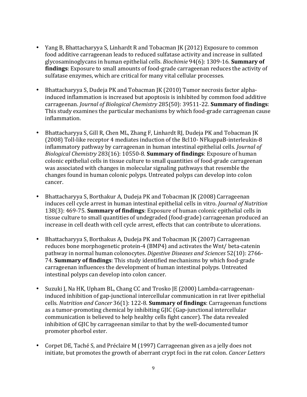- Yang B, Bhattacharyya S, Linhardt R and Tobacman JK (2012) Exposure to common food additive carrageenan leads to reduced sulfatase activity and increase in sulfated glycosaminoglycans in human epithelial cells. *Biochimie* 94(6): 1309-16. **Summary of findings**: Exposure to small amounts of food-grade carrageenan reduces the activity of sulfatase enzymes, which are critical for many vital cellular processes.
- Bhattacharyya S, Dudeja PK and Tobacman JK (2010) Tumor necrosis factor alphainduced inflammation is increased but apoptosis is inhibited by common food additive carrageenan. *Journal of Biological Chemistry* 285(50): 39511-22. **Summary of findings**: This study examines the particular mechanisms by which food-grade carrageenan cause inflammation.
- Bhattacharyya S, Gill R, Chen ML, Zhang F, Linhardt RJ, Dudeja PK and Tobacman JK (2008) Toll-like receptor 4 mediates induction of the Bcl10- NFkappaB-interleukin-8 inflammatory pathway by carrageenan in human intestinal epithelial cells. *Journal of Biological Chemistry* 283(16): 10550-8. **Summary of findings**: Exposure of human colonic epithelial cells in tissue culture to small quantities of food-grade carrageenan was associated with changes in molecular signaling pathways that resemble the changes found in human colonic polyps. Untreated polyps can develop into colon cancer.
- Bhattacharyya S, Borthakur A, Dudeja PK and Tobacman JK (2008) Carrageenan induces cell cycle arrest in human intestinal epithelial cells in vitro. *Journal of Nutrition* 138(3): 469-75. **Summary of findings**: Exposure of human colonic epithelial cells in tissue culture to small quantities of undegraded (food-grade) carrageenan produced an increase in cell death with cell cycle arrest, effects that can contribute to ulcerations.
- Bhattacharyya S, Borthakus A, Dudeja PK and Tobacman JK (2007) Carrageenan reduces bone morphogenetic protein-4 (BMP4) and activates the Wnt/ beta-catenin pathway in normal human colonocytes. *Digestive Diseases and Sciences* 52(10): 2766-74. **Summary of findings**: This study identified mechanisms by which food-grade carrageenan influences the development of human intestinal polyps. Untreated intestinal polyps can develop into colon cancer.
- Suzuki J, Na HK, Upham BL, Chang CC and Trosko JE (2000) Lambda-carrageenaninduced inhibition of gap-junctional intercellular communication in rat liver epithelial cells. *Nutrition and Cancer* 36(1): 122-8. **Summary of findings**: Carrageenan functions as a tumor-promoting chemical by inhibiting GJIC (Gap-junctional intercellular communication is believed to help healthy cells fight cancer). The data revealed inhibition of GJIC by carrageenan similar to that by the well-documented tumor promoter phorbol ester.
- Corpet DE, Taché S, and Préclaire M (1997) Carrageenan given as a jelly does not initiate, but promotes the growth of aberrant crypt foci in the rat colon. *Cancer Letters*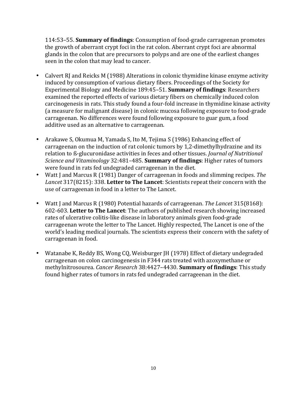114:53–55. **Summary of findings**: Consumption of food-grade carrageenan promotes the growth of aberrant crypt foci in the rat colon. Aberrant crypt foci are abnormal glands in the colon that are precursors to polyps and are one of the earliest changes seen in the colon that may lead to cancer.

- Calvert RJ and Reicks M (1988) Alterations in colonic thymidine kinase enzyme activity induced by consumption of various dietary fibers. Proceedings of the Society for Experimental Biology and Medicine 189:45-51. **Summary of findings**: Researchers examined the reported effects of various dietary fibers on chemically induced colon carcinogenesis in rats. This study found a four-fold increase in thymidine kinase activity (a measure for malignant disease) in colonic mucosa following exposure to food-grade carrageenan. No differences were found following exposure to guar gum, a food additive used as an alternative to carrageenan.
- Arakawe S, Okumua M, Yamada S, Ito M, Tejima S (1986) Enhancing effect of carrageenan on the induction of rat colonic tumors by  $1,2$ -dimethylhydrazine and its relation to ß-glucuronidase activities in feces and other tissues. *Journal of Nutritional Science and Vitaminology* 32:481–485. **Summary of findings**: Higher rates of tumors were found in rats fed undegraded carrageenan in the diet.
- Watt I and Marcus R (1981) Danger of carrageenan in foods and slimming recipes. The Lancet 317(8215): 338. Letter to The Lancet: Scientists repeat their concern with the use of carrageenan in food in a letter to The Lancet.
- Watt J and Marcus R (1980) Potential hazards of carrageenan. *The Lancet* 315(8168): 602-603. Letter to The Lancet: The authors of published research showing increased rates of ulcerative colitis-like disease in laboratory animals given food-grade carrageenan wrote the letter to The Lancet. Highly respected, The Lancet is one of the world's leading medical journals. The scientists express their concern with the safety of carrageenan in food.
- Watanabe K, Reddy BS, Wong CQ, Weisburger JH (1978) Effect of dietary undegraded carrageenan on colon carcinogenesis in F344 rats treated with azoxymethane or methylnitrosourea. *Cancer Research* 38:4427-4430. **Summary of findings**: This study found higher rates of tumors in rats fed undegraded carrageenan in the diet.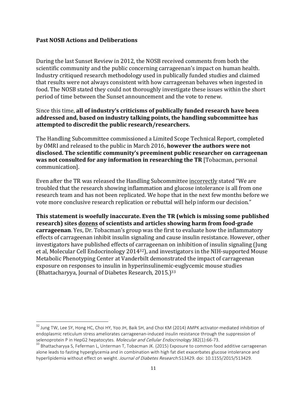#### **Past NOSB Actions and Deliberations**

 

During the last Sunset Review in 2012, the NOSB received comments from both the scientific community and the public concerning carrageenan's impact on human health. Industry critiqued research methodology used in publically funded studies and claimed that results were not always consistent with how carrageenan behaves when ingested in food. The NOSB stated they could not thoroughly investigate these issues within the short period of time between the Sunset announcement and the vote to renew.

#### Since this time, all of industry's criticisms of publically funded research have been addressed and, based on industry talking points, the handling subcommittee has attempted to discredit the public research/researchers.

The Handling Subcommittee commissioned a Limited Scope Technical Report, completed by OMRI and released to the public in March 2016, **however the authors were not** disclosed. The scientific community's preeminent public researcher on carrageenan **was not consulted for any information in researching the TR** [Tobacman, personal communication].

Even after the TR was released the Handling Subcommittee incorrectly stated "We are troubled that the research showing inflammation and glucose intolerance is all from one research team and has not been replicated. We hope that in the next few months before we vote more conclusive research replication or rebuttal will help inform our decision."

This statement is woefully inaccurate. Even the TR (which is missing some published research) sites dozens of scientists and articles showing harm from food-grade **carrageenan**. Yes, Dr. Tobacman's group was the first to evaluate how the inflammatory effects of carrageenan inhibit insulin signaling and cause insulin resistance. However, other investigators have published effects of carrageenan on inhibition of insulin signaling (Jung) et al, Molecular Cell Endocrinology 2014<sup>32</sup>), and investigators in the NIH-supported Mouse Metabolic Phenotyping Center at Vanderbilt demonstrated the impact of carrageenan exposure on responses to insulin in hyperinsulinemic-euglycemic mouse studies (Bhattacharyya, Journal of Diabetes Research, 2015.)<sup>33</sup>

 $32$  Jung TW, Lee SY, Hong HC, Choi HY, Yoo JH, Baik SH, and Choi KM (2014) AMPK activator-mediated inhibition of endoplasmic reticulum stress ameliorates carrageenan-induced insulin resistance through the suppression of selenoprotein P in HepG2 hepatocytes. Molecular and Cellular Endocrinology 382(1):66-73.

<sup>&</sup>lt;sup>33</sup> Bhattacharyya S, Feferman L, Unterman T, Tobacman JK. (2015) Exposure to common food additive carrageenan alone leads to fasting hyperglycemia and in combination with high fat diet exacerbates glucose intolerance and hyperlipidemia without effect on weight. Journal of Diabetes Research:513429. doi: 10.1155/2015/513429.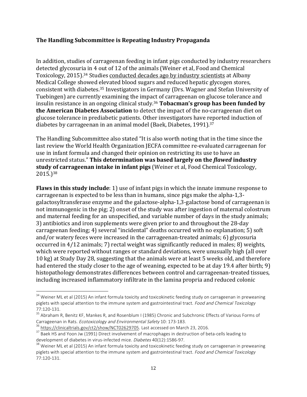#### **The Handling Subcommittee is Repeating Industry Propaganda**

In addition, studies of carrageenan feeding in infant pigs conducted by industry researchers detected glycosuria in 4 out of 12 of the animals (Weiner et al, Food and Chemical Toxicology, 2015).<sup>34</sup> Studies conducted decades ago by industry scientists at Albany Medical College showed elevated blood sugars and reduced hepatic glycogen stores, consistent with diabetes.<sup>35</sup> Investigators in Germany (Drs. Wagner and Stefan University of Tuebingen) are currently examining the impact of carrageenan on glucose tolerance and insulin resistance in an ongoing clinical study.<sup>36</sup> **Tobacman's group has been funded by the American Diabetes Association** to detect the impact of the no-carrageenan diet on glucose tolerance in prediabetic patients. Other investigators have reported induction of diabetes by carrageenan in an animal model (Baek, Diabetes, 1991).<sup>37</sup>

The Handling Subcommittee also stated "It is also worth noting that in the time since the last review the World Health Organization JECFA committee re-evaluated carrageenan for use in infant formula and changed their opinion on restricting its use to have an unrestricted status." This determination was based largely on the *flawed* industry **study of carrageenan intake in infant pigs** (Weiner et al, Food Chemical Toxicology, 2015.)38

**Flaws in this study include**: 1) use of infant pigs in which the innate immune response to carrageenan is expected to be less than in humans, since pigs make the alpha-1,3galactosyltransferase enzyme and the galactose-alpha-1,3-galactose bond of carrageenan is not immunogenic in the pig; 2) onset of the study was after ingestion of maternal colostrum and maternal feeding for an unspecified, and variable number of days in the study animals; 3) antibiotics and iron supplements were given prior to and throughout the 28-day carrageenan feeding; 4) several "incidental" deaths occurred with no explanation; 5) soft and/or watery feces were increased in the carrageenan-treated animals; 6) glycosuria occurred in  $4/12$  animals; 7) rectal weight was significantly reduced in males; 8) weights, which were reported without ranges or standard deviations, were unusually high (all over 10 kg) at Study Day 28, suggesting that the animals were at least 5 weeks old, and therefore had entered the study closer to the age of weaning, expected to be at day 19.4 after birth; 9) histopathology demonstrates differences between control and carrageenan-treated tissues, including increased inflammatory infiltrate in the lamina propria and reduced colonic

<sup>&</sup>lt;sup>34</sup> Weiner ML et al (2015) An infant formula toxicity and toxicokinetic feeding study on carrageenan in preweaning piglets with special attention to the immune system and gastrointestinal tract. Food and Chemical Toxicology

<sup>77:120-131.&</sup>lt;br><sup>35</sup> Abraham R, Benitz KF, Mankes R, and Rosenblum I (1985) Chronic and Subchronic Effects of Various Forms of<br>Carrageenan in Rats*. Ecotoxicology and Environmental Safety* 10: 173-183.

 $^{36}$  https://clinicaltrials.gov/ct2/show/NCT02629705. Last accessed on March 23, 2016.<br> $^{37}$  Baek HS and Yoon Jw (1991) Direct involvement of macrophages in destruction of beta-cells leading to development of diabetes

 $38$  Weiner ML et al (2015) An infant formula toxicity and toxicokinetic feeding study on carrageenan in preweaning piglets with special attention to the immune system and gastrointestinal tract. Food and Chemical Toxicology 77:120-131.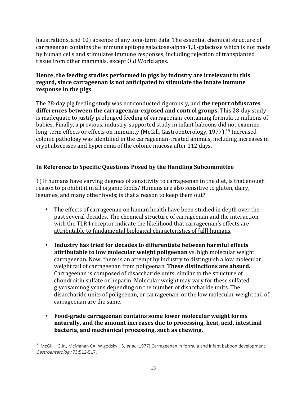haustrations, and 10) absence of any long-term data. The essential chemical structure of carrageenan contains the immune epitope galactose-alpha-1,3,-galactose which is not made by human cells and stimulates immune responses, including rejection of transplanted tissue from other mammals, except Old World apes.

#### Hence, the feeding studies performed in pigs by industry are irrelevant in this regard, since carrageenan is not anticipated to stimulate the innate immune **response in the pigs.**

The 28-day pig feeding study was not conducted rigorously, and **the report obfuscates differences between the carrageenan-exposed and control groups.** This 28-day study is inadequate to justify prolonged feeding of carrageenan-containing formula to millions of babies. Finally, a previous, industry-supported study in infant baboons did not examine long-term effects or effects on immunity (McGill, Gastroenterology, 1977).<sup>39</sup> Increased colonic pathology was identified in the carrageenan-treated animals, including increases in crypt abscesses and hyperemia of the colonic mucosa after 112 days.

#### In Reference to Specific Questions Posed by the Handling Subcommittee

1) If humans have varying degrees of sensitivity to carrageenan in the diet, is that enough reason to prohibit it in all organic foods? Humans are also sensitive to gluten, dairy, legumes, and many other foods; is that a reason to keep them out?

- The effects of carrageenan on human health have been studied in depth over the past several decades. The chemical structure of carrageenan and the interaction with the TLR4 receptor indicate the likelihood that carrageenan's effects are attributable to fundamental biological characteristics of [all] humans.
- Industry has tried for decades to differentiate between harmful effects **attributable to low molecular weight poligeenan** vs. high molecular weight carrageenan. Now, there is an attempt by industry to distinguish a low molecular weight tail of carrageenan from poligeenan. These distinctions are absurd. Carrageenan is composed of disaccharide units, similar to the structure of chondroitin sulfate or heparin. Molecular weight may vary for these sulfated glycosaminoglycans depending on the number of disaccharide units. The disaccharide units of poligeenan, or carrageenan, or the low molecular weight tail of carrageenan are the same.
- Food-grade carrageenan contains some lower molecular weight forms naturally, and the amount increases due to processing, heat, acid, intestinal **bacteria, and mechanical processing, such as chewing.**

<sup>&</sup>lt;sup>39</sup> McGill HC Jr., McMahan CA, Wigodsky HS, *et al*. (1977) Carrageenan in formula and infant baboon development. Gastroenterology 73:512-517.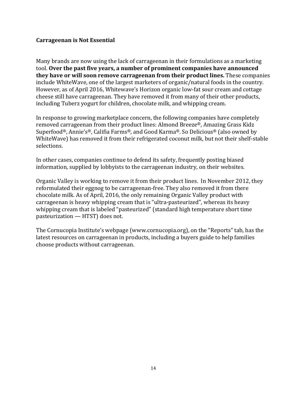#### **Carrageenan is Not Essential**

Many brands are now using the lack of carrageenan in their formulations as a marketing tool. Over the past five years, a number of prominent companies have announced **they have or will soon remove carrageenan from their product lines.** These companies include WhiteWave, one of the largest marketers of organic/natural foods in the country. However, as of April 2016, Whitewave's Horizon organic low-fat sour cream and cottage cheese still have carrageenan. They have removed it from many of their other products, including Tuberz yogurt for children, chocolate milk, and whipping cream.

In response to growing marketplace concern, the following companies have completely removed carrageenan from their product lines: Almond Breeze®, Amazing Grass Kidz Superfood®, Annie's®, Califia Farms®, and Good Karma®. So Delicious® (also owned by WhiteWave) has removed it from their refrigerated coconut milk, but not their shelf-stable selections. 

In other cases, companies continue to defend its safety, frequently posting biased information, supplied by lobbyists to the carrageenan industry, on their websites.

Organic Valley is working to remove it from their product lines. In November 2012, they reformulated their eggnog to be carrageenan-free. They also removed it from there chocolate milk. As of April, 2016, the only remaining Organic Valley product with carrageenan is heavy whipping cream that is "ultra-pasteurized", whereas its heavy whipping cream that is labeled "pasteurized" (standard high temperature short time  $pasteurization - HTST)$  does not.

The Cornucopia Institute's webpage (www.cornucopia.org), on the "Reports" tab, has the latest resources on carrageenan in products, including a buyers guide to help families choose products without carrageenan.